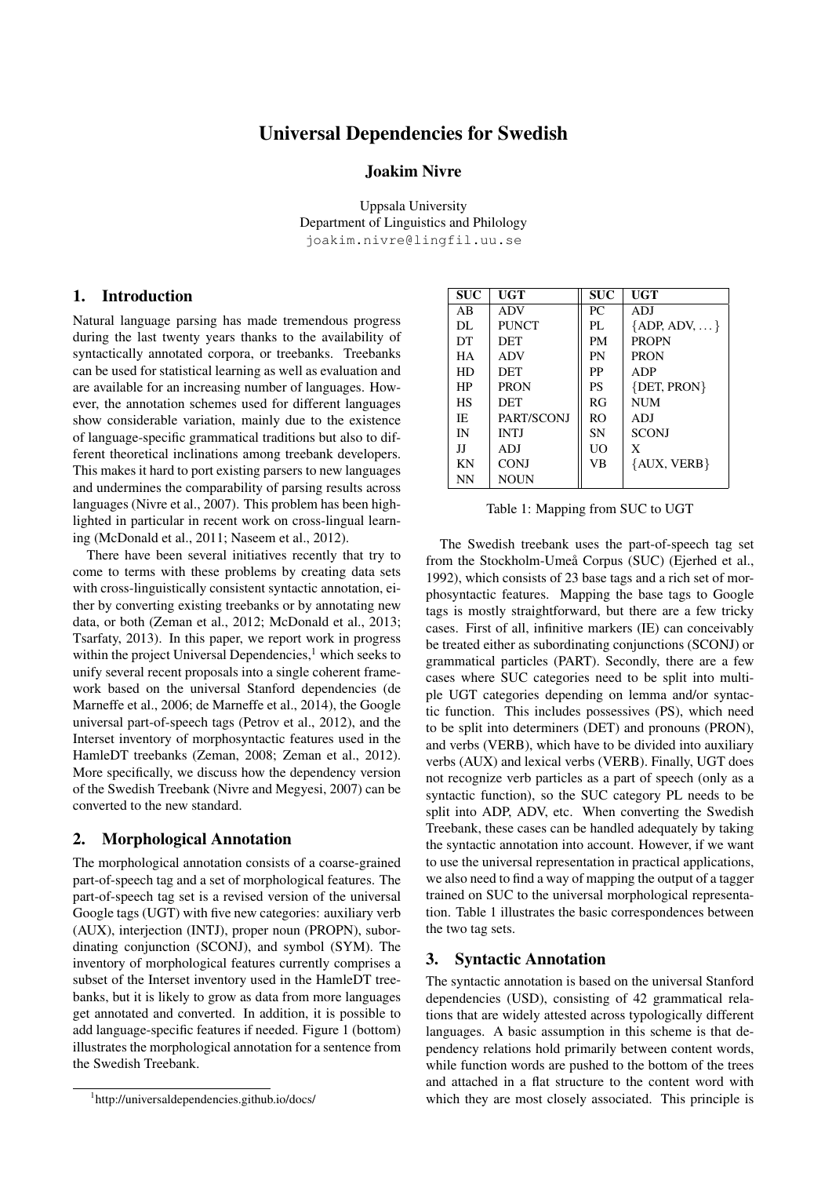# Universal Dependencies for Swedish

#### Joakim Nivre

Uppsala University Department of Linguistics and Philology joakim.nivre@lingfil.uu.se

#### 1. Introduction

Natural language parsing has made tremendous progress during the last twenty years thanks to the availability of syntactically annotated corpora, or treebanks. Treebanks can be used for statistical learning as well as evaluation and are available for an increasing number of languages. However, the annotation schemes used for different languages show considerable variation, mainly due to the existence of language-specific grammatical traditions but also to different theoretical inclinations among treebank developers. This makes it hard to port existing parsers to new languages and undermines the comparability of parsing results across languages (Nivre et al., 2007). This problem has been highlighted in particular in recent work on cross-lingual learning (McDonald et al., 2011; Naseem et al., 2012).

There have been several initiatives recently that try to come to terms with these problems by creating data sets with cross-linguistically consistent syntactic annotation, either by converting existing treebanks or by annotating new data, or both (Zeman et al., 2012; McDonald et al., 2013; Tsarfaty, 2013). In this paper, we report work in progress within the project Universal Dependencies, $<sup>1</sup>$  which seeks to</sup> unify several recent proposals into a single coherent framework based on the universal Stanford dependencies (de Marneffe et al., 2006; de Marneffe et al., 2014), the Google universal part-of-speech tags (Petrov et al., 2012), and the Interset inventory of morphosyntactic features used in the HamleDT treebanks (Zeman, 2008; Zeman et al., 2012). More specifically, we discuss how the dependency version of the Swedish Treebank (Nivre and Megyesi, 2007) can be converted to the new standard.

#### 2. Morphological Annotation

The morphological annotation consists of a coarse-grained part-of-speech tag and a set of morphological features. The part-of-speech tag set is a revised version of the universal Google tags (UGT) with five new categories: auxiliary verb (AUX), interjection (INTJ), proper noun (PROPN), subordinating conjunction (SCONJ), and symbol (SYM). The inventory of morphological features currently comprises a subset of the Interset inventory used in the HamleDT treebanks, but it is likely to grow as data from more languages get annotated and converted. In addition, it is possible to add language-specific features if needed. Figure 1 (bottom) illustrates the morphological annotation for a sentence from the Swedish Treebank.

| <b>SUC</b> | UGT          | <b>SUC</b> | UGT                 |
|------------|--------------|------------|---------------------|
| AB         | <b>ADV</b>   | PC.        | ADJ                 |
| DL.        | <b>PUNCT</b> | PI.        | ${ADP, ADV, \dots}$ |
| DT         | <b>DET</b>   | <b>PM</b>  | <b>PROPN</b>        |
| <b>HA</b>  | <b>ADV</b>   | PN         | <b>PRON</b>         |
| HD         | DET          | PP         | ADP                 |
| HP         | <b>PRON</b>  | <b>PS</b>  | $\{DET, PRON\}$     |
| HS         | <b>DET</b>   | RG         | <b>NUM</b>          |
| IE.        | PART/SCONJ   | RO.        | ADJ                 |
| IN         | <b>INTI</b>  | <b>SN</b>  | <b>SCONJ</b>        |
| IJ         | ADJ          | UO         | X                   |
| KN         | <b>CONJ</b>  | VB         | {AUX, VERB}         |
| NN         | NOUN         |            |                     |
|            |              |            |                     |

Table 1: Mapping from SUC to UGT

The Swedish treebank uses the part-of-speech tag set from the Stockholm-Umeå Corpus (SUC) (Ejerhed et al., 1992), which consists of 23 base tags and a rich set of morphosyntactic features. Mapping the base tags to Google tags is mostly straightforward, but there are a few tricky cases. First of all, infinitive markers (IE) can conceivably be treated either as subordinating conjunctions (SCONJ) or grammatical particles (PART). Secondly, there are a few cases where SUC categories need to be split into multiple UGT categories depending on lemma and/or syntactic function. This includes possessives (PS), which need to be split into determiners (DET) and pronouns (PRON), and verbs (VERB), which have to be divided into auxiliary verbs (AUX) and lexical verbs (VERB). Finally, UGT does not recognize verb particles as a part of speech (only as a syntactic function), so the SUC category PL needs to be split into ADP, ADV, etc. When converting the Swedish Treebank, these cases can be handled adequately by taking the syntactic annotation into account. However, if we want to use the universal representation in practical applications, we also need to find a way of mapping the output of a tagger trained on SUC to the universal morphological representation. Table 1 illustrates the basic correspondences between the two tag sets.

#### 3. Syntactic Annotation

The syntactic annotation is based on the universal Stanford dependencies (USD), consisting of 42 grammatical relations that are widely attested across typologically different languages. A basic assumption in this scheme is that dependency relations hold primarily between content words, while function words are pushed to the bottom of the trees and attached in a flat structure to the content word with which they are most closely associated. This principle is

<sup>1</sup> http://universaldependencies.github.io/docs/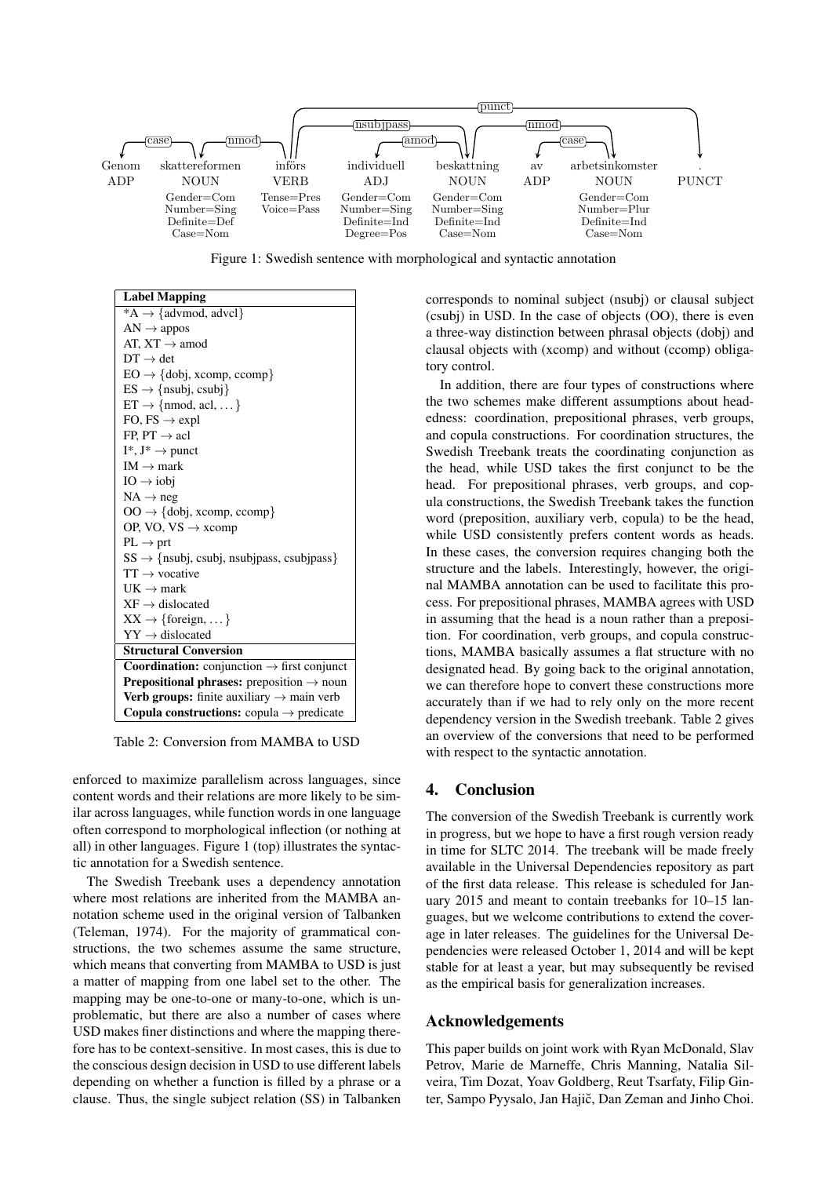

Figure 1: Swedish sentence with morphological and syntactic annotation

| <b>Label Mapping</b>                                          |  |  |  |
|---------------------------------------------------------------|--|--|--|
| $*A \rightarrow \{advmod, advel\}$                            |  |  |  |
| $AN \rightarrow appos$                                        |  |  |  |
| AT, $XT \rightarrow$ amod                                     |  |  |  |
| $DT \rightarrow det$                                          |  |  |  |
| $EO \rightarrow \{dobj, xcomp, ccomp\}$                       |  |  |  |
| $ES \rightarrow \{nsubj, csubj\}$                             |  |  |  |
| $ET \rightarrow \{nmod, \text{acl}, \dots\}$                  |  |  |  |
| FO, $FS \rightarrow expl$                                     |  |  |  |
| FP, $PT \rightarrow \text{acl}$                               |  |  |  |
| $I^*, J^* \rightarrow$ punct                                  |  |  |  |
| $IM \rightarrow mark$                                         |  |  |  |
| $IO \rightarrow ibbi$                                         |  |  |  |
| $NA \rightarrow neg$                                          |  |  |  |
| $OO \rightarrow \{dobj, xcomp, ccomp\}$                       |  |  |  |
| OP, VO, $VS \rightarrow xcomp$                                |  |  |  |
| $PL \rightarrow$ prt                                          |  |  |  |
| $SS \rightarrow \{nsubj, csubj, nsubipass, csubipass\}$       |  |  |  |
| $TT \rightarrow vocative$                                     |  |  |  |
| $UK \rightarrow mark$                                         |  |  |  |
| $XF \rightarrow dislocated$                                   |  |  |  |
| $XX \rightarrow \{foreign, \dots\}$                           |  |  |  |
| $YY \rightarrow$ dislocated                                   |  |  |  |
| <b>Structural Conversion</b>                                  |  |  |  |
| <b>Coordination:</b> conjunction $\rightarrow$ first conjunct |  |  |  |
| <b>Prepositional phrases:</b> preposition $\rightarrow$ noun  |  |  |  |
| Verb groups: finite auxiliary $\rightarrow$ main verb         |  |  |  |
| <b>Copula constructions:</b> copula $\rightarrow$ predicate   |  |  |  |

Table 2: Conversion from MAMBA to USD

enforced to maximize parallelism across languages, since content words and their relations are more likely to be similar across languages, while function words in one language often correspond to morphological inflection (or nothing at all) in other languages. Figure 1 (top) illustrates the syntactic annotation for a Swedish sentence.

The Swedish Treebank uses a dependency annotation where most relations are inherited from the MAMBA annotation scheme used in the original version of Talbanken (Teleman, 1974). For the majority of grammatical constructions, the two schemes assume the same structure, which means that converting from MAMBA to USD is just a matter of mapping from one label set to the other. The mapping may be one-to-one or many-to-one, which is unproblematic, but there are also a number of cases where USD makes finer distinctions and where the mapping therefore has to be context-sensitive. In most cases, this is due to the conscious design decision in USD to use different labels depending on whether a function is filled by a phrase or a clause. Thus, the single subject relation (SS) in Talbanken corresponds to nominal subject (nsubj) or clausal subject (csubj) in USD. In the case of objects (OO), there is even a three-way distinction between phrasal objects (dobj) and clausal objects with (xcomp) and without (ccomp) obligatory control.

In addition, there are four types of constructions where the two schemes make different assumptions about headedness: coordination, prepositional phrases, verb groups, and copula constructions. For coordination structures, the Swedish Treebank treats the coordinating conjunction as the head, while USD takes the first conjunct to be the head. For prepositional phrases, verb groups, and copula constructions, the Swedish Treebank takes the function word (preposition, auxiliary verb, copula) to be the head, while USD consistently prefers content words as heads. In these cases, the conversion requires changing both the structure and the labels. Interestingly, however, the original MAMBA annotation can be used to facilitate this process. For prepositional phrases, MAMBA agrees with USD in assuming that the head is a noun rather than a preposition. For coordination, verb groups, and copula constructions, MAMBA basically assumes a flat structure with no designated head. By going back to the original annotation, we can therefore hope to convert these constructions more accurately than if we had to rely only on the more recent dependency version in the Swedish treebank. Table 2 gives an overview of the conversions that need to be performed with respect to the syntactic annotation.

## 4. Conclusion

of the first data release. This release is scheduled for Jan-The conversion of the Swedish Treebank is currently work in progress, but we hope to have a first rough version ready in time for SLTC 2014. The treebank will be made freely available in the Universal Dependencies repository as part uary 2015 and meant to contain treebanks for 10–15 languages, but we welcome contributions to extend the coverage in later releases. The guidelines for the Universal Dependencies were released October 1, 2014 and will be kept stable for at least a year, but may subsequently be revised as the empirical basis for generalization increases.

## Acknowledgements

This paper builds on joint work with Ryan McDonald, Slav Petrov, Marie de Marneffe, Chris Manning, Natalia Silveira, Tim Dozat, Yoav Goldberg, Reut Tsarfaty, Filip Ginter, Sampo Pyysalo, Jan Hajič, Dan Zeman and Jinho Choi.